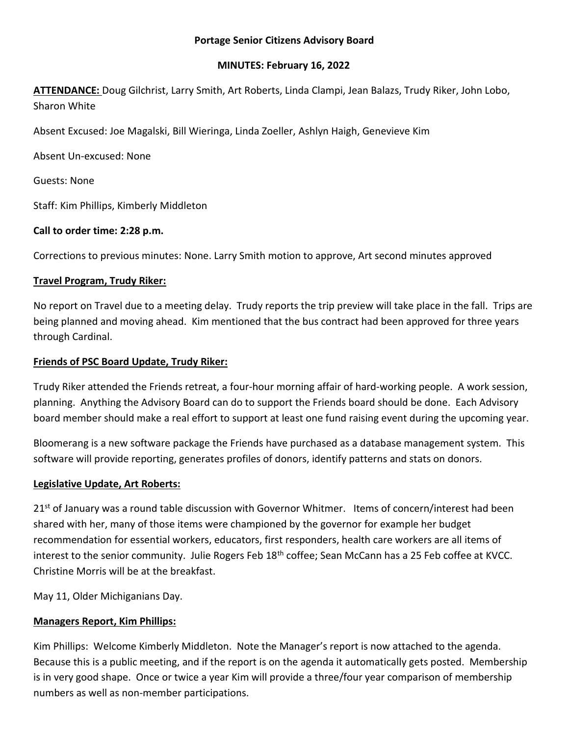#### **Portage Senior Citizens Advisory Board**

#### **MINUTES: February 16, 2022**

**ATTENDANCE:** Doug Gilchrist, Larry Smith, Art Roberts, Linda Clampi, Jean Balazs, Trudy Riker, John Lobo, Sharon White

Absent Excused: Joe Magalski, Bill Wieringa, Linda Zoeller, Ashlyn Haigh, Genevieve Kim

Absent Un-excused: None

Guests: None

Staff: Kim Phillips, Kimberly Middleton

## **Call to order time: 2:28 p.m.**

Corrections to previous minutes: None. Larry Smith motion to approve, Art second minutes approved

## **Travel Program, Trudy Riker:**

No report on Travel due to a meeting delay. Trudy reports the trip preview will take place in the fall. Trips are being planned and moving ahead. Kim mentioned that the bus contract had been approved for three years through Cardinal.

### **Friends of PSC Board Update, Trudy Riker:**

Trudy Riker attended the Friends retreat, a four-hour morning affair of hard-working people. A work session, planning. Anything the Advisory Board can do to support the Friends board should be done. Each Advisory board member should make a real effort to support at least one fund raising event during the upcoming year.

Bloomerang is a new software package the Friends have purchased as a database management system. This software will provide reporting, generates profiles of donors, identify patterns and stats on donors.

### **Legislative Update, Art Roberts:**

21<sup>st</sup> of January was a round table discussion with Governor Whitmer. Items of concern/interest had been shared with her, many of those items were championed by the governor for example her budget recommendation for essential workers, educators, first responders, health care workers are all items of interest to the senior community. Julie Rogers Feb 18<sup>th</sup> coffee; Sean McCann has a 25 Feb coffee at KVCC. Christine Morris will be at the breakfast.

May 11, Older Michiganians Day.

# **Managers Report, Kim Phillips:**

Kim Phillips: Welcome Kimberly Middleton. Note the Manager's report is now attached to the agenda. Because this is a public meeting, and if the report is on the agenda it automatically gets posted. Membership is in very good shape. Once or twice a year Kim will provide a three/four year comparison of membership numbers as well as non-member participations.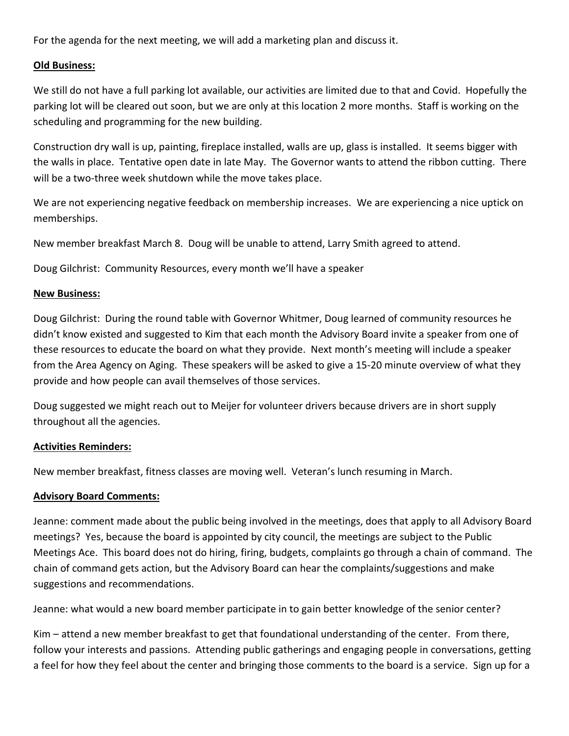For the agenda for the next meeting, we will add a marketing plan and discuss it.

### **Old Business:**

We still do not have a full parking lot available, our activities are limited due to that and Covid. Hopefully the parking lot will be cleared out soon, but we are only at this location 2 more months. Staff is working on the scheduling and programming for the new building.

Construction dry wall is up, painting, fireplace installed, walls are up, glass is installed. It seems bigger with the walls in place. Tentative open date in late May. The Governor wants to attend the ribbon cutting. There will be a two-three week shutdown while the move takes place.

We are not experiencing negative feedback on membership increases. We are experiencing a nice uptick on memberships.

New member breakfast March 8. Doug will be unable to attend, Larry Smith agreed to attend.

Doug Gilchrist: Community Resources, every month we'll have a speaker

### **New Business:**

Doug Gilchrist: During the round table with Governor Whitmer, Doug learned of community resources he didn't know existed and suggested to Kim that each month the Advisory Board invite a speaker from one of these resources to educate the board on what they provide. Next month's meeting will include a speaker from the Area Agency on Aging. These speakers will be asked to give a 15-20 minute overview of what they provide and how people can avail themselves of those services.

Doug suggested we might reach out to Meijer for volunteer drivers because drivers are in short supply throughout all the agencies.

# **Activities Reminders:**

New member breakfast, fitness classes are moving well. Veteran's lunch resuming in March.

# **Advisory Board Comments:**

Jeanne: comment made about the public being involved in the meetings, does that apply to all Advisory Board meetings? Yes, because the board is appointed by city council, the meetings are subject to the Public Meetings Ace. This board does not do hiring, firing, budgets, complaints go through a chain of command. The chain of command gets action, but the Advisory Board can hear the complaints/suggestions and make suggestions and recommendations.

Jeanne: what would a new board member participate in to gain better knowledge of the senior center?

Kim – attend a new member breakfast to get that foundational understanding of the center. From there, follow your interests and passions. Attending public gatherings and engaging people in conversations, getting a feel for how they feel about the center and bringing those comments to the board is a service. Sign up for a